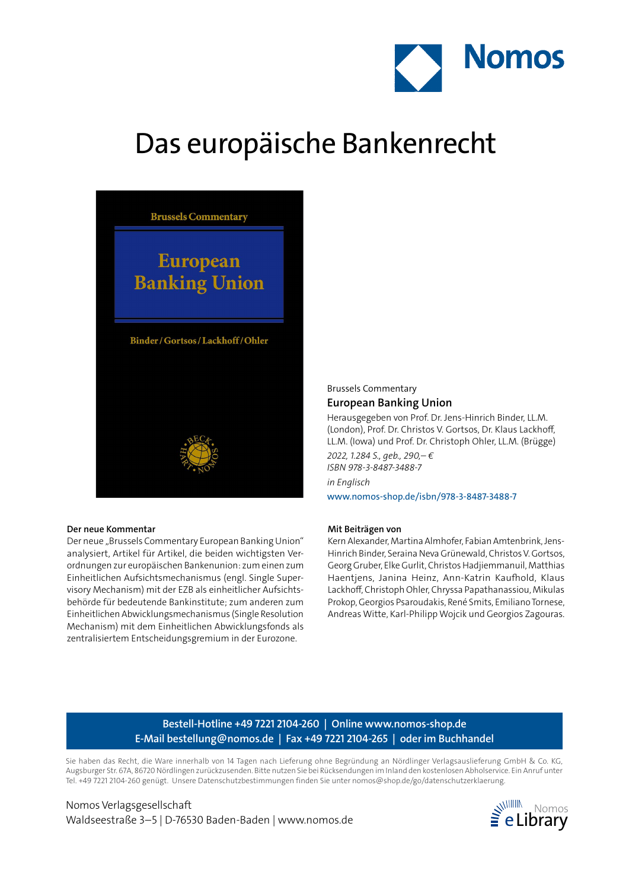

# Das europäische Bankenrecht



#### **Der neue Kommentar**

Der neue "Brussels Commentary European Banking Union" analysiert, Artikel für Artikel, die beiden wichtigsten Verordnungen zur europäischen Bankenunion: zum einen zum Einheitlichen Aufsichtsmechanismus (engl. Single Supervisory Mechanism) mit der EZB als einheitlicher Aufsichtsbehörde für bedeutende Bankinstitute; zum anderen zum Einheitlichen Abwicklungsmechanismus (Single Resolution Mechanism) mit dem Einheitlichen Abwicklungsfonds als zentralisiertem Entscheidungsgremium in der Eurozone.

## Brussels Commentary **European Banking Union**

Herausgegeben von Prof. Dr. Jens-Hinrich Binder, LL.M. (London), Prof. Dr. Christos V. Gortsos, Dr. Klaus Lackhoff, LL.M. (Iowa) und Prof. Dr. Christoph Ohler, LL.M. (Brügge) *2022, 1.284 S., geb., 290,– € ISBN 978-3-8487-3488-7 in Englisch*

www.nomos-shop.de/isbn/978-3-8487-3488-7

#### **Mit Beiträgen von**

Kern Alexander, Martina Almhofer, Fabian Amtenbrink, Jens-Hinrich Binder, Seraina Neva Grünewald, Christos V. Gortsos, Georg Gruber, Elke Gurlit, Christos Hadjiemmanuil, Matthias Haentjens, Janina Heinz, Ann-Katrin Kaufhold, Klaus Lackhoff, Christoph Ohler, Chryssa Papathanassiou, Mikulas Prokop, Georgios Psaroudakis, René Smits, Emiliano Tornese, Andreas Witte, Karl-Philipp Wojcik und Georgios Zagouras.

# **Bestell-Hotline +49 7221 2104-260 | Online www.nomos-shop.de E-Mail bestellung@nomos.de | Fax +49 7221 2104-265 | oder im Buchhandel**

Sie haben das Recht, die Ware innerhalb von 14 Tagen nach Lieferung ohne Begründung an Nördlinger Verlagsauslieferung GmbH & Co. KG, Augsburger Str. 67A, 86720 Nördlingen zurückzusenden. Bitte nutzen Sie bei Rücksendungen im Inland den kostenlosen Abholservice. Ein Anruf unter Tel. +49 7221 2104-260 genügt. Unsere Datenschutzbestimmungen finden Sie unter nomos@shop.de/go/datenschutzerklaerung.

Nomos Verlagsgesellschaft Waldseestraße 3–5 | D-76530 Baden-Baden | www.nomos.de  $\equiv$  eLibrary